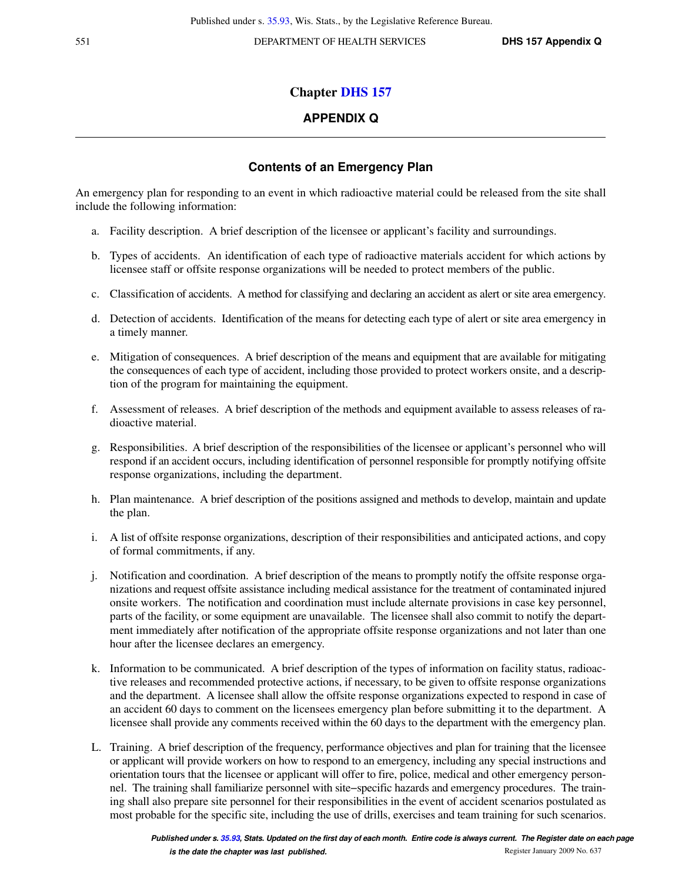## **Chapter [DHS 157](https://docs-preview.legis.wisconsin.gov/document/administrativecode/ch.%20DHS%20157)**

## **APPENDIX Q**

## **Contents of an Emergency Plan**

An emergency plan for responding to an event in which radioactive material could be released from the site shall include the following information:

- a. Facility description. A brief description of the licensee or applicant's facility and surroundings.
- b. Types of accidents. An identification of each type of radioactive materials accident for which actions by licensee staff or offsite response organizations will be needed to protect members of the public.
- c. Classification of accidents. A method for classifying and declaring an accident as alert or site area emergency.
- d. Detection of accidents. Identification of the means for detecting each type of alert or site area emergency in a timely manner.
- e. Mitigation of consequences. A brief description of the means and equipment that are available for mitigating the consequences of each type of accident, including those provided to protect workers onsite, and a description of the program for maintaining the equipment.
- f. Assessment of releases. A brief description of the methods and equipment available to assess releases of radioactive material.
- g. Responsibilities. A brief description of the responsibilities of the licensee or applicant's personnel who will respond if an accident occurs, including identification of personnel responsible for promptly notifying offsite response organizations, including the department.
- h. Plan maintenance. A brief description of the positions assigned and methods to develop, maintain and update the plan.
- i. A list of offsite response organizations, description of their responsibilities and anticipated actions, and copy of formal commitments, if any.
- j. Notification and coordination. A brief description of the means to promptly notify the offsite response organizations and request offsite assistance including medical assistance for the treatment of contaminated injured onsite workers. The notification and coordination must include alternate provisions in case key personnel, parts of the facility, or some equipment are unavailable. The licensee shall also commit to notify the department immediately after notification of the appropriate offsite response organizations and not later than one hour after the licensee declares an emergency.
- k. Information to be communicated. A brief description of the types of information on facility status, radioactive releases and recommended protective actions, if necessary, to be given to offsite response organizations and the department. A licensee shall allow the offsite response organizations expected to respond in case of an accident 60 days to comment on the licensees emergency plan before submitting it to the department. A licensee shall provide any comments received within the 60 days to the department with the emergency plan.
- L. Training. A brief description of the frequency, performance objectives and plan for training that the licensee or applicant will provide workers on how to respond to an emergency, including any special instructions and orientation tours that the licensee or applicant will offer to fire, police, medical and other emergency personnel. The training shall familiarize personnel with site−specific hazards and emergency procedures. The training shall also prepare site personnel for their responsibilities in the event of accident scenarios postulated as most probable for the specific site, including the use of drills, exercises and team training for such scenarios.